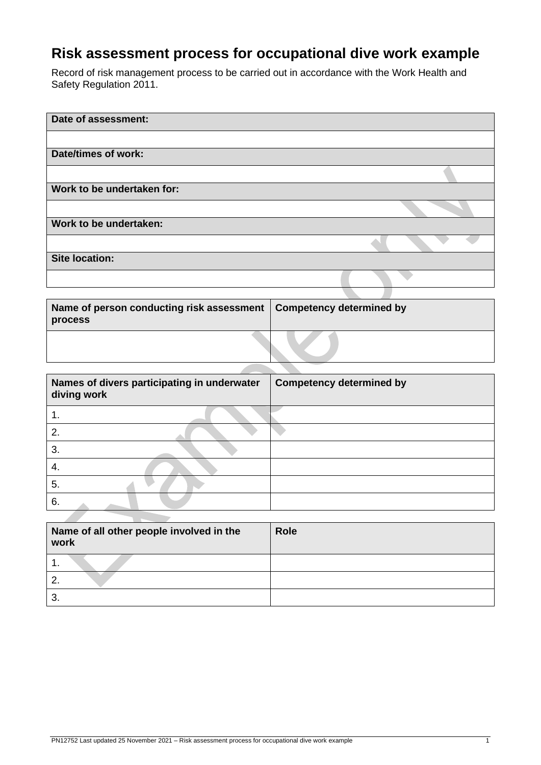# **Risk assessment process for occupational dive work example**

Record of risk management process to be carried out in accordance with the Work Health and Safety Regulation 2011.

| Date of assessment:        |  |
|----------------------------|--|
|                            |  |
| <b>Date/times of work:</b> |  |
|                            |  |
| Work to be undertaken for: |  |
|                            |  |
| Work to be undertaken:     |  |
|                            |  |
| <b>Site location:</b>      |  |
|                            |  |
|                            |  |

| Name of person conducting risk assessment   Competency determined by<br>process |  |
|---------------------------------------------------------------------------------|--|
|                                                                                 |  |

z.

| Names of divers participating in underwater<br>diving work | <b>Competency determined by</b> |
|------------------------------------------------------------|---------------------------------|
|                                                            |                                 |
| 2.                                                         |                                 |
| 3.                                                         |                                 |
|                                                            |                                 |
| 5.                                                         |                                 |
| 6.                                                         |                                 |

| Name of all other people involved in the<br>work | <b>Role</b> |
|--------------------------------------------------|-------------|
| . .                                              |             |
|                                                  |             |
| ◠<br>ು.                                          |             |

**STATISTICS**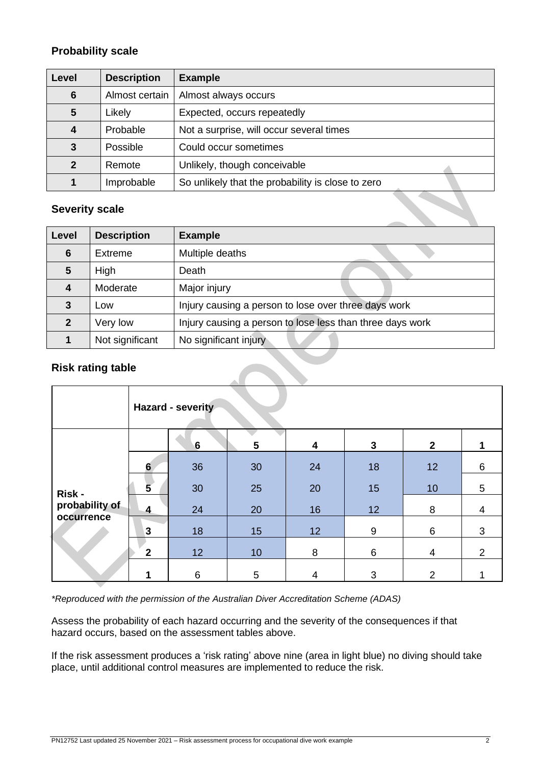## **Probability scale**

| Level          | <b>Description</b> | <b>Example</b>                                    |
|----------------|--------------------|---------------------------------------------------|
| 6              | Almost certain     | Almost always occurs                              |
| 5              | Likely             | Expected, occurs repeatedly                       |
| 4              | Probable           | Not a surprise, will occur several times          |
| 3              | Possible           | Could occur sometimes                             |
| $\overline{2}$ | Remote             | Unlikely, though conceivable                      |
| 1              | Improbable         | So unlikely that the probability is close to zero |

## **Severity scale**

| Level          | <b>Description</b> | <b>Example</b>                                            |
|----------------|--------------------|-----------------------------------------------------------|
| 6              | Extreme            | Multiple deaths                                           |
| 5              | High               | Death                                                     |
| 4              | Moderate           | Major injury                                              |
| 3              | Low                | Injury causing a person to lose over three days work      |
| $\mathfrak{p}$ | Very low           | Injury causing a person to lose less than three days work |
|                | Not significant    | No significant injury                                     |

## **Risk rating table**

|                          |                         | Hazard - severity |    |    |                 |                |                |
|--------------------------|-------------------------|-------------------|----|----|-----------------|----------------|----------------|
|                          |                         | $6\phantom{1}$    | 5  | 4  | $\mathbf{3}$    | $\mathbf{2}$   |                |
| Risk -<br>probability of | $6\phantom{1}$          | 36                | 30 | 24 | 18              | 12             | 6              |
|                          | 5                       | 30                | 25 | 20 | 15              | 10             | 5              |
|                          | $\overline{\mathbf{4}}$ | 24                | 20 | 16 | 12 <sup>°</sup> | 8              | 4              |
| occurrence               | $\mathbf{3}$            | 18                | 15 | 12 | $9\,$           | 6              | 3              |
|                          | 2                       | 12                | 10 | 8  | 6               | 4              | $\overline{2}$ |
|                          |                         | $\,6$             | 5  | 4  | 3               | $\overline{2}$ |                |

*\*Reproduced with the permission of the Australian Diver Accreditation Scheme (ADAS)*

Assess the probability of each hazard occurring and the severity of the consequences if that hazard occurs, based on the assessment tables above.

If the risk assessment produces a 'risk rating' above nine (area in light blue) no diving should take place, until additional control measures are implemented to reduce the risk.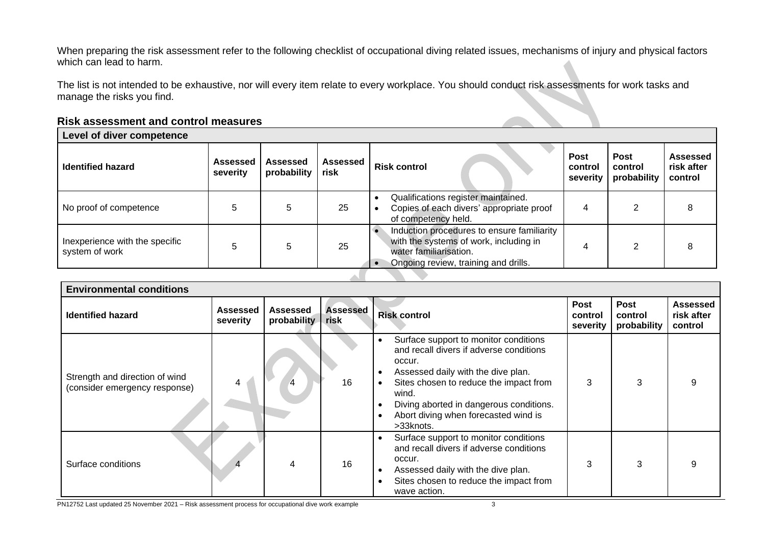When preparing the risk assessment refer to the following checklist of occupational diving related issues, mechanisms of injury and physical factors which can lead to harm.

The list is not intended to be exhaustive, nor will every item relate to every workplace. You should conduct risk assessments for work tasks and manage the risks you find.

#### **Risk assessment and control measures**

| Level of diver competence                        |                             |                         |                  |                                                                                                                                                        |                                    |                                       |                                          |
|--------------------------------------------------|-----------------------------|-------------------------|------------------|--------------------------------------------------------------------------------------------------------------------------------------------------------|------------------------------------|---------------------------------------|------------------------------------------|
| <b>Identified hazard</b>                         | <b>Assessed</b><br>severity | Assessed<br>probability | Assessed<br>risk | <b>Risk control</b>                                                                                                                                    | <b>Post</b><br>control<br>severity | <b>Post</b><br>control<br>probability | <b>Assessed</b><br>risk after<br>control |
| No proof of competence                           | 5                           | 5                       | 25               | Qualifications register maintained.<br>Copies of each divers' appropriate proof<br>of competency held.                                                 | 4                                  |                                       |                                          |
| Inexperience with the specific<br>system of work |                             | 5                       | 25               | Induction procedures to ensure familiarity<br>with the systems of work, including in<br>water familiarisation.<br>Ongoing review, training and drills. |                                    | 2                                     |                                          |
|                                                  |                             |                         |                  |                                                                                                                                                        |                                    |                                       |                                          |

| <b>Environmental conditions</b>                                 |                      |                         |                         |                                                                                                                                                                                                                                                                                                                            |                                    |                                       |                                          |
|-----------------------------------------------------------------|----------------------|-------------------------|-------------------------|----------------------------------------------------------------------------------------------------------------------------------------------------------------------------------------------------------------------------------------------------------------------------------------------------------------------------|------------------------------------|---------------------------------------|------------------------------------------|
| <b>Identified hazard</b>                                        | Assessed<br>severity | Assessed<br>probability | <b>Assessed</b><br>risk | <b>Risk control</b>                                                                                                                                                                                                                                                                                                        | <b>Post</b><br>control<br>severity | <b>Post</b><br>control<br>probability | <b>Assessed</b><br>risk after<br>control |
| Strength and direction of wind<br>(consider emergency response) | 4                    |                         | 16                      | Surface support to monitor conditions<br>$\bullet$<br>and recall divers if adverse conditions<br>occur.<br>Assessed daily with the dive plan.<br>$\bullet$<br>Sites chosen to reduce the impact from<br>$\bullet$<br>wind.<br>Diving aborted in dangerous conditions.<br>Abort diving when forecasted wind is<br>>33knots. | 3                                  | 3                                     | 9                                        |
| Surface conditions                                              |                      | 4                       | 16                      | Surface support to monitor conditions<br>$\bullet$<br>and recall divers if adverse conditions<br>occur.<br>Assessed daily with the dive plan.<br>$\bullet$<br>Sites chosen to reduce the impact from<br>wave action.                                                                                                       | 3                                  | 3                                     | 9                                        |

PN12752 Last updated 25 November 2021 – Risk assessment process for occupational dive work example 3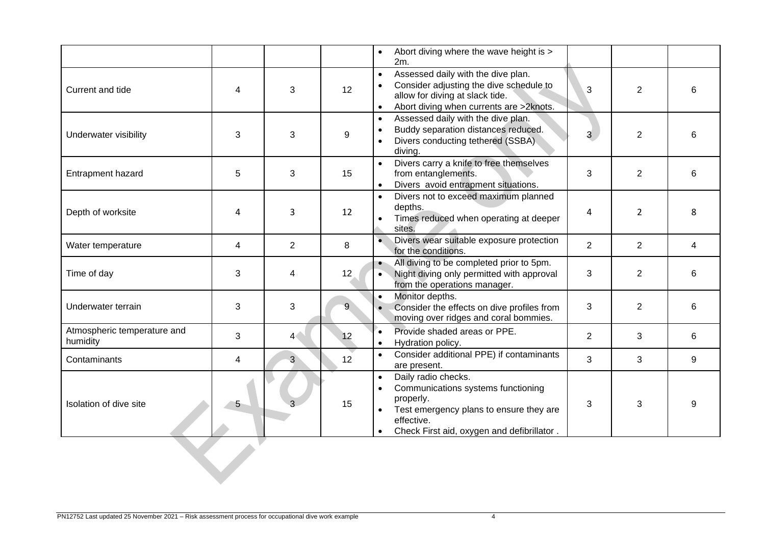|                                         |                |                |                   | Abort diving where the wave height is ><br>$\bullet$<br>2m.                                                                                                                                                          |                |                |   |
|-----------------------------------------|----------------|----------------|-------------------|----------------------------------------------------------------------------------------------------------------------------------------------------------------------------------------------------------------------|----------------|----------------|---|
| Current and tide                        | 4              | 3              | 12                | Assessed daily with the dive plan.<br>$\bullet$<br>Consider adjusting the dive schedule to<br>allow for diving at slack tide.<br>Abort diving when currents are >2knots.                                             | 3              | $\overline{2}$ | 6 |
| Underwater visibility                   | 3              | 3              | 9                 | Assessed daily with the dive plan.<br>$\bullet$<br>Buddy separation distances reduced.<br>$\bullet$<br>Divers conducting tethered (SSBA).<br>$\bullet$<br>diving.                                                    | 3 <sup>1</sup> | $\overline{2}$ | 6 |
| <b>Entrapment hazard</b>                | 5              | 3              | 15                | Divers carry a knife to free themselves<br>from entanglements.<br>Divers avoid entrapment situations.<br>$\bullet$                                                                                                   | 3              | $\overline{2}$ | 6 |
| Depth of worksite                       | 4              | 3              | 12                | Divers not to exceed maximum planned<br>$\bullet$<br>depths.<br>Times reduced when operating at deeper<br>sites.                                                                                                     | $\overline{4}$ | $\overline{2}$ | 8 |
| Water temperature                       | 4              | 2              | 8                 | $\bullet$<br>Divers wear suitable exposure protection<br>for the conditions.                                                                                                                                         | $\overline{2}$ | $\overline{2}$ | 4 |
| Time of day                             | 3              | 4              | $12 \overline{ }$ | All diving to be completed prior to 5pm.<br>$\bullet$<br>Night diving only permitted with approval<br>$\bullet$<br>from the operations manager.                                                                      | 3              | $\overline{2}$ | 6 |
| Underwater terrain                      | 3              | 3              | 9                 | Monitor depths.<br>$\bullet$<br>Consider the effects on dive profiles from<br>$\bullet$<br>moving over ridges and coral bommies.                                                                                     | 3              | $\overline{2}$ | 6 |
| Atmospheric temperature and<br>humidity | 3              | 4<             | 12                | ٠.<br>Provide shaded areas or PPE.<br>Hydration policy.<br>$\bullet$                                                                                                                                                 | $\overline{2}$ | 3              | 6 |
| Contaminants                            | 4              | 3 <sup>2</sup> | 12                | Consider additional PPE) if contaminants<br>$\bullet$<br>are present.                                                                                                                                                | 3              | 3              | 9 |
| Isolation of dive site                  | 5 <sub>2</sub> |                | 15                | Daily radio checks.<br>$\bullet$<br>Communications systems functioning<br>properly.<br>Test emergency plans to ensure they are<br>$\bullet$<br>effective.<br>Check First aid, oxygen and defibrillator.<br>$\bullet$ | 3              | 3              | 9 |
|                                         |                |                |                   |                                                                                                                                                                                                                      |                |                |   |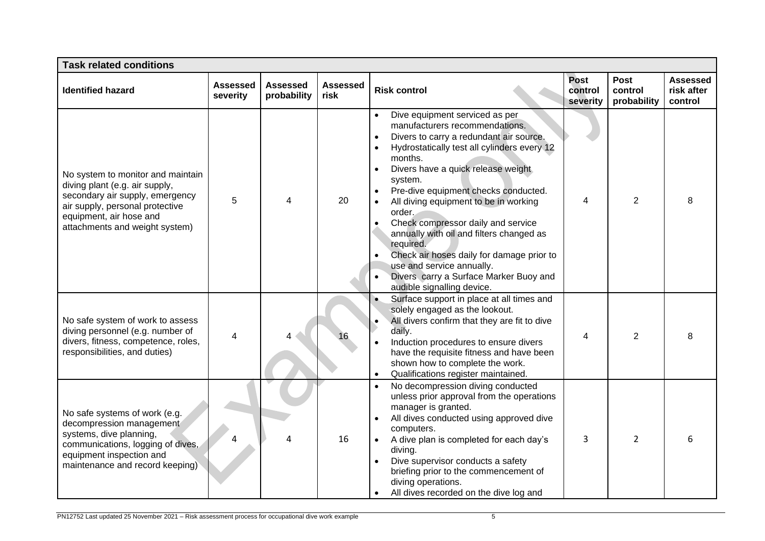| <b>Task related conditions</b>                                                                                                                                                                         |                      |                                |                         |                                                                                                                                                                                                                                                                                                                                                                                                                                                                                                                                                                                              |                                    |                                |                                          |
|--------------------------------------------------------------------------------------------------------------------------------------------------------------------------------------------------------|----------------------|--------------------------------|-------------------------|----------------------------------------------------------------------------------------------------------------------------------------------------------------------------------------------------------------------------------------------------------------------------------------------------------------------------------------------------------------------------------------------------------------------------------------------------------------------------------------------------------------------------------------------------------------------------------------------|------------------------------------|--------------------------------|------------------------------------------|
| <b>Identified hazard</b>                                                                                                                                                                               | Assessed<br>severity | <b>Assessed</b><br>probability | <b>Assessed</b><br>risk | <b>Risk control</b>                                                                                                                                                                                                                                                                                                                                                                                                                                                                                                                                                                          | <b>Post</b><br>control<br>severity | Post<br>control<br>probability | <b>Assessed</b><br>risk after<br>control |
| No system to monitor and maintain<br>diving plant (e.g. air supply,<br>secondary air supply, emergency<br>air supply, personal protective<br>equipment, air hose and<br>attachments and weight system) | 5                    | 4                              | 20                      | Dive equipment serviced as per<br>manufacturers recommendations.<br>Divers to carry a redundant air source.<br>$\bullet$<br>Hydrostatically test all cylinders every 12<br>$\bullet$<br>months.<br>Divers have a quick release weight<br>system.<br>Pre-dive equipment checks conducted.<br>All diving equipment to be in working<br>order.<br>Check compressor daily and service<br>annually with oil and filters changed as<br>required.<br>Check air hoses daily for damage prior to<br>use and service annually.<br>Divers carry a Surface Marker Buoy and<br>audible signalling device. | 4                                  | $\overline{2}$                 |                                          |
| No safe system of work to assess<br>diving personnel (e.g. number of<br>divers, fitness, competence, roles,<br>responsibilities, and duties)                                                           | 4                    |                                |                         | Surface support in place at all times and<br>solely engaged as the lookout.<br>All divers confirm that they are fit to dive<br>daily.<br>Induction procedures to ensure divers<br>have the requisite fitness and have been<br>shown how to complete the work.<br>Qualifications register maintained.                                                                                                                                                                                                                                                                                         | 4                                  | $\overline{2}$                 |                                          |
| No safe systems of work (e.g.<br>decompression management<br>systems, dive planning,<br>communications, logging of dives,<br>equipment inspection and<br>maintenance and record keeping)               |                      |                                | 16                      | No decompression diving conducted<br>unless prior approval from the operations<br>manager is granted.<br>All dives conducted using approved dive<br>computers.<br>A dive plan is completed for each day's<br>$\bullet$<br>diving.<br>Dive supervisor conducts a safety<br>$\bullet$<br>briefing prior to the commencement of<br>diving operations.<br>All dives recorded on the dive log and                                                                                                                                                                                                 | 3                                  | $\overline{2}$                 |                                          |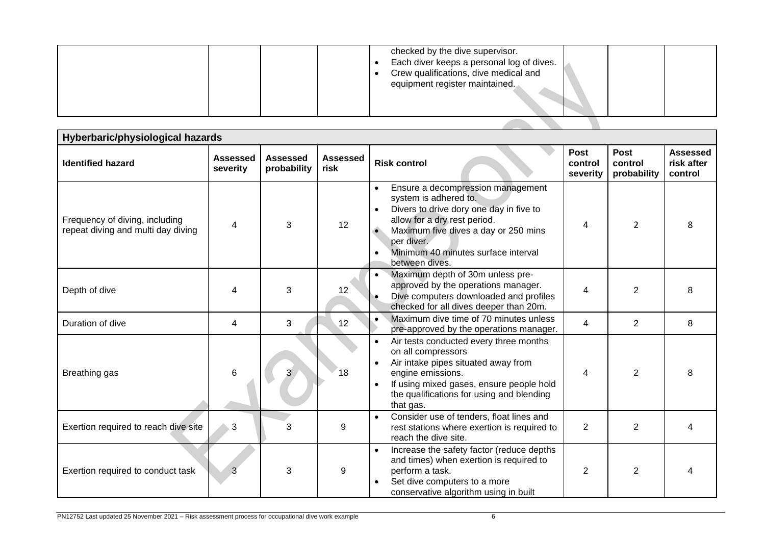|  | checked by the dive supervisor.<br>Each diver keeps a personal log of dives.<br>Crew qualifications, dive medical and<br>equipment register maintained. |  |  |
|--|---------------------------------------------------------------------------------------------------------------------------------------------------------|--|--|
|--|---------------------------------------------------------------------------------------------------------------------------------------------------------|--|--|

| Hyberbaric/physiological hazards                                     |                             |                                |                         |                                                                                                                                                                                                                                                      |                                    |                                |                                          |  |  |
|----------------------------------------------------------------------|-----------------------------|--------------------------------|-------------------------|------------------------------------------------------------------------------------------------------------------------------------------------------------------------------------------------------------------------------------------------------|------------------------------------|--------------------------------|------------------------------------------|--|--|
| <b>Identified hazard</b>                                             | <b>Assessed</b><br>severity | <b>Assessed</b><br>probability | <b>Assessed</b><br>risk | <b>Risk control</b>                                                                                                                                                                                                                                  | <b>Post</b><br>control<br>severity | Post<br>control<br>probability | <b>Assessed</b><br>risk after<br>control |  |  |
| Frequency of diving, including<br>repeat diving and multi day diving |                             | 3                              | 12                      | Ensure a decompression management<br>system is adhered to.<br>Divers to drive dory one day in five to<br>allow for a dry rest period.<br>Maximum five dives a day or 250 mins<br>per diver.<br>Minimum 40 minutes surface interval<br>between dives. | 4                                  | $\overline{2}$                 |                                          |  |  |
| Depth of dive                                                        |                             | 3                              | 12                      | Maximum depth of 30m unless pre-<br>approved by the operations manager.<br>Dive computers downloaded and profiles<br>checked for all dives deeper than 20m.                                                                                          | 4                                  | 2                              |                                          |  |  |
| Duration of dive                                                     | 4                           | 3                              | 12                      | Maximum dive time of 70 minutes unless<br>$\bullet$<br>pre-approved by the operations manager.                                                                                                                                                       | $\overline{\mathbf{4}}$            | $\overline{2}$                 | 8                                        |  |  |
| Breathing gas                                                        | 6                           |                                | 18                      | Air tests conducted every three months<br>on all compressors<br>Air intake pipes situated away from<br>engine emissions.<br>If using mixed gases, ensure people hold<br>$\bullet$<br>the qualifications for using and blending<br>that gas.          | 4                                  | 2                              |                                          |  |  |
| Exertion required to reach dive site                                 | 3                           | 3                              | 9                       | Consider use of tenders, float lines and<br>$\bullet$<br>rest stations where exertion is required to<br>reach the dive site.                                                                                                                         | $\overline{2}$                     | 2                              |                                          |  |  |
| Exertion required to conduct task                                    | 3                           | 3                              | 9                       | Increase the safety factor (reduce depths<br>and times) when exertion is required to<br>perform a task.<br>Set dive computers to a more<br>conservative algorithm using in built                                                                     | $\overline{2}$                     | $\overline{2}$                 |                                          |  |  |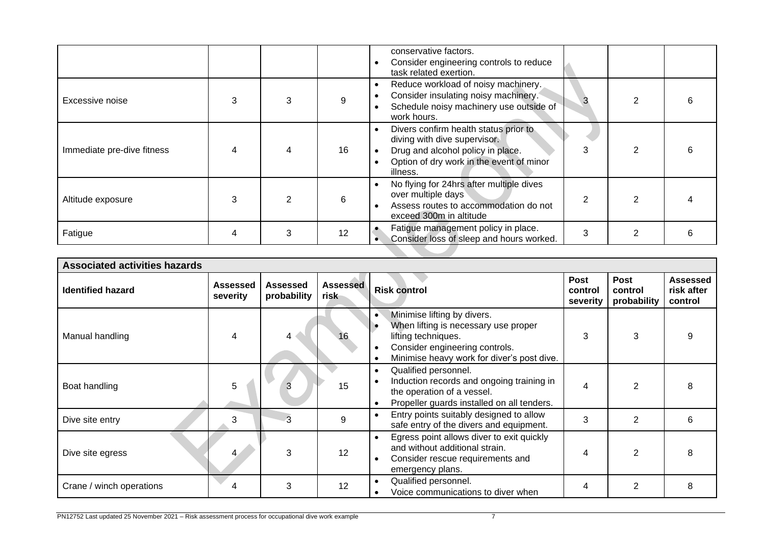|                            |   |   |    | conservative factors.<br>Consider engineering controls to reduce<br>task related exertion.                                                                                      |   |  |
|----------------------------|---|---|----|---------------------------------------------------------------------------------------------------------------------------------------------------------------------------------|---|--|
| Excessive noise            |   |   | 9  | Reduce workload of noisy machinery.<br>$\bullet$<br>Consider insulating noisy machinery.<br>Schedule noisy machinery use outside of<br>work hours.                              |   |  |
| Immediate pre-dive fitness |   |   | 16 | Divers confirm health status prior to<br>$\bullet$<br>diving with dive supervisor.<br>Drug and alcohol policy in place.<br>Option of dry work in the event of minor<br>illness. |   |  |
| Altitude exposure          |   |   | 6  | No flying for 24hrs after multiple dives<br>over multiple days<br>Assess routes to accommodation do not<br>exceed 300m in altitude                                              |   |  |
| Fatigue                    | 4 | 3 | 12 | Fatigue management policy in place.<br>Consider loss of sleep and hours worked.                                                                                                 | 3 |  |

| <b>Associated activities hazards</b> |                             |                                |                         |                                                                                                                                                                                         |                                    |                                |                                   |
|--------------------------------------|-----------------------------|--------------------------------|-------------------------|-----------------------------------------------------------------------------------------------------------------------------------------------------------------------------------------|------------------------------------|--------------------------------|-----------------------------------|
| <b>Identified hazard</b>             | <b>Assessed</b><br>severity | <b>Assessed</b><br>probability | <b>Assessed</b><br>risk | <b>Risk control</b>                                                                                                                                                                     | <b>Post</b><br>control<br>severity | Post<br>control<br>probability | Assessed<br>risk after<br>control |
| Manual handling                      |                             |                                |                         | Minimise lifting by divers.<br>$\bullet$<br>When lifting is necessary use proper<br>lifting techniques.<br>Consider engineering controls.<br>Minimise heavy work for diver's post dive. | 3                                  | 3                              |                                   |
| Boat handling                        | 5                           |                                | 15                      | Qualified personnel.<br>$\bullet$<br>Induction records and ongoing training in<br>$\bullet$<br>the operation of a vessel.<br>Propeller guards installed on all tenders.<br>$\bullet$    | 4                                  | 2                              |                                   |
| Dive site entry                      | 3                           |                                | 9                       | Entry points suitably designed to allow<br>safe entry of the divers and equipment.                                                                                                      | 3                                  | $\overline{2}$                 | 6                                 |
| Dive site egress                     |                             | 3                              | 12                      | Egress point allows diver to exit quickly<br>$\bullet$<br>and without additional strain.<br>Consider rescue requirements and<br>$\bullet$<br>emergency plans.                           |                                    | 2                              |                                   |
| Crane / winch operations             |                             | 3                              | 12                      | Qualified personnel.<br>$\bullet$<br>Voice communications to diver when                                                                                                                 |                                    | $\overline{2}$                 | 8                                 |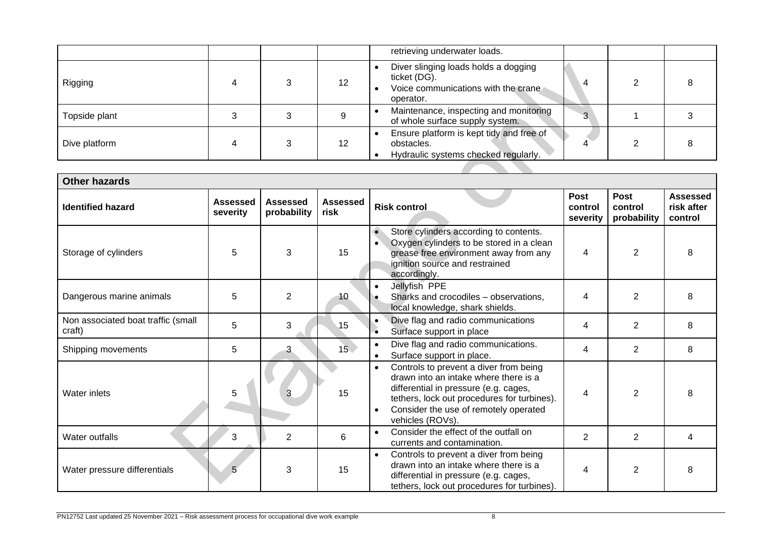|               |  |    | retrieving underwater loads.                                                                             |          |  |
|---------------|--|----|----------------------------------------------------------------------------------------------------------|----------|--|
| Rigging       |  | 12 | Diver slinging loads holds a dogging<br>ticket (DG).<br>Voice communications with the crane<br>operator. |          |  |
| Topside plant |  |    | Maintenance, inspecting and monitoring<br>of whole surface supply system.                                | $\Omega$ |  |
| Dive platform |  | 12 | Ensure platform is kept tidy and free of<br>obstacles.<br>Hydraulic systems checked regularly.           |          |  |

| <b>Other hazards</b>                         |                             |                                |                         |                                                                                                                                                                                                                                                                |                                    |                                       |                                          |
|----------------------------------------------|-----------------------------|--------------------------------|-------------------------|----------------------------------------------------------------------------------------------------------------------------------------------------------------------------------------------------------------------------------------------------------------|------------------------------------|---------------------------------------|------------------------------------------|
| <b>Identified hazard</b>                     | <b>Assessed</b><br>severity | <b>Assessed</b><br>probability | <b>Assessed</b><br>risk | <b>Risk control</b>                                                                                                                                                                                                                                            | <b>Post</b><br>control<br>severity | <b>Post</b><br>control<br>probability | <b>Assessed</b><br>risk after<br>control |
| Storage of cylinders                         | 5                           | 3                              | 15                      | $\bullet$<br>Store cylinders according to contents.<br>Oxygen cylinders to be stored in a clean<br>$\bullet$<br>grease free environment away from any<br>ignition source and restrained<br>accordingly.                                                        | 4                                  | $\overline{2}$                        | 8                                        |
| Dangerous marine animals                     | 5                           | $\overline{2}$                 | 10                      | Jellyfish PPE<br>$\bullet$<br>Sharks and crocodiles - observations,<br>local knowledge, shark shields.                                                                                                                                                         | 4                                  | $\overline{2}$                        | 8                                        |
| Non associated boat traffic (small<br>craft) | 5                           | 3                              | 15                      | Dive flag and radio communications<br>$\bullet$<br>Surface support in place                                                                                                                                                                                    | 4                                  | $\overline{2}$                        | 8                                        |
| Shipping movements                           | 5                           | 3                              | 15 <sup>7</sup>         | Dive flag and radio communications.<br>Surface support in place.<br>$\bullet$                                                                                                                                                                                  | 4                                  | 2                                     | 8                                        |
| Water inlets                                 | 5                           | 3                              | 15                      | Controls to prevent a diver from being<br>$\bullet$<br>drawn into an intake where there is a<br>differential in pressure (e.g. cages,<br>tethers, lock out procedures for turbines).<br>Consider the use of remotely operated<br>$\bullet$<br>vehicles (ROVs). | 4                                  | $\overline{2}$                        |                                          |
| Water outfalls                               | 3                           | 2                              | 6                       | Consider the effect of the outfall on<br>$\bullet$<br>currents and contamination.                                                                                                                                                                              | $\overline{2}$                     | $\overline{2}$                        | 4                                        |
| Water pressure differentials                 | 5                           | 3                              | 15                      | Controls to prevent a diver from being<br>$\bullet$<br>drawn into an intake where there is a<br>differential in pressure (e.g. cages,<br>tethers, lock out procedures for turbines).                                                                           | 4                                  | $\overline{2}$                        | 8                                        |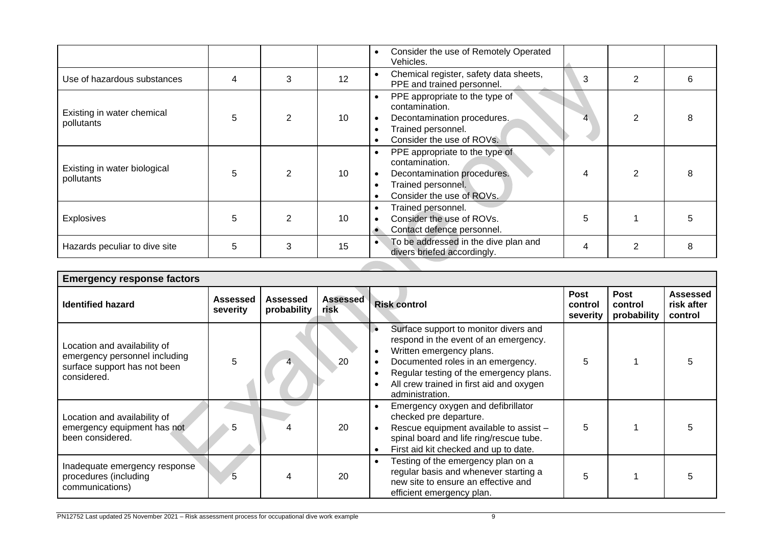|                                            |   |   |    | Consider the use of Remotely Operated<br>$\bullet$<br>Vehicles.                                                                                 |   |                |   |
|--------------------------------------------|---|---|----|-------------------------------------------------------------------------------------------------------------------------------------------------|---|----------------|---|
| Use of hazardous substances                | 4 | 3 | 12 | Chemical register, safety data sheets,<br>$\bullet$<br>PPE and trained personnel.                                                               | 3 | $\overline{2}$ | 6 |
| Existing in water chemical<br>pollutants   | 5 | 2 | 10 | PPE appropriate to the type of<br>$\bullet$<br>contamination.<br>Decontamination procedures.<br>Trained personnel.<br>Consider the use of ROVs. |   |                |   |
| Existing in water biological<br>pollutants | 5 | 2 | 10 | PPE appropriate to the type of<br>$\bullet$<br>contamination.<br>Decontamination procedures.<br>Trained personnel.<br>Consider the use of ROVs. |   |                |   |
| <b>Explosives</b>                          | 5 |   | 10 | Trained personnel.<br>Consider the use of ROVs.<br>Contact defence personnel.<br>$\bullet$                                                      | 5 |                |   |
| Hazards peculiar to dive site              | 5 | 3 | 15 | To be addressed in the dive plan and<br>$\bullet$<br>divers briefed accordingly.                                                                |   | $\overline{2}$ | 8 |

| <b>Emergency response factors</b>                                                                            |                      |                         |                         |                                                                                                                                                                                                                                                                                  |                                    |                                       |                                          |  |
|--------------------------------------------------------------------------------------------------------------|----------------------|-------------------------|-------------------------|----------------------------------------------------------------------------------------------------------------------------------------------------------------------------------------------------------------------------------------------------------------------------------|------------------------------------|---------------------------------------|------------------------------------------|--|
| <b>Identified hazard</b>                                                                                     | Assessed<br>severity | Assessed<br>probability | <b>Assessed</b><br>risk | <b>Risk control</b>                                                                                                                                                                                                                                                              | <b>Post</b><br>control<br>severity | <b>Post</b><br>control<br>probability | <b>Assessed</b><br>risk after<br>control |  |
| Location and availability of<br>emergency personnel including<br>surface support has not been<br>considered. | 5                    |                         | 20                      | Surface support to monitor divers and<br>respond in the event of an emergency.<br>Written emergency plans.<br>٠<br>Documented roles in an emergency.<br>Regular testing of the emergency plans.<br>٠<br>All crew trained in first aid and oxygen<br>$\bullet$<br>administration. | 5                                  |                                       |                                          |  |
| Location and availability of<br>emergency equipment has not<br>been considered.                              | 5                    |                         | 20                      | Emergency oxygen and defibrillator<br>checked pre departure.<br>Rescue equipment available to assist -<br>spinal board and life ring/rescue tube.<br>First aid kit checked and up to date.                                                                                       | 5                                  |                                       |                                          |  |
| Inadequate emergency response<br>procedures (including<br>communications)                                    | 5                    |                         | 20                      | Testing of the emergency plan on a<br>$\bullet$<br>regular basis and whenever starting a<br>new site to ensure an effective and<br>efficient emergency plan.                                                                                                                     | 5                                  |                                       |                                          |  |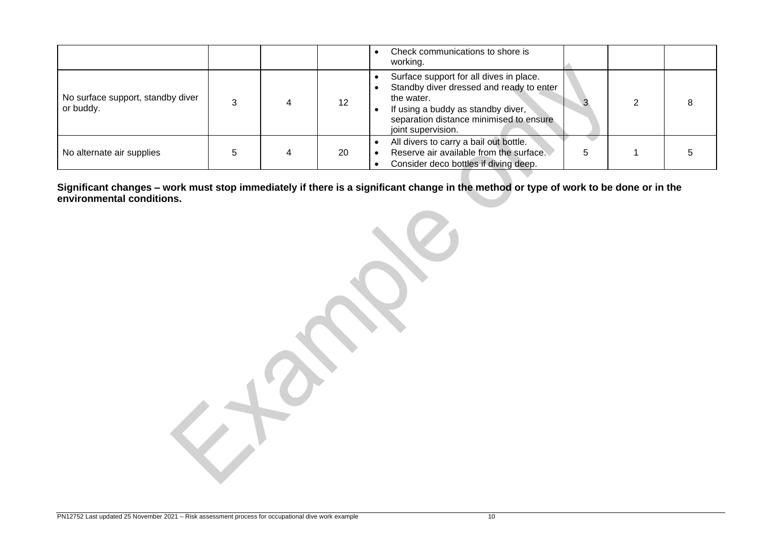|                                                |  |     | Check communications to shore is<br>working.                                                                                                                                                             |  |  |
|------------------------------------------------|--|-----|----------------------------------------------------------------------------------------------------------------------------------------------------------------------------------------------------------|--|--|
| No surface support, standby diver<br>or buddy. |  | 12  | Surface support for all dives in place.<br>Standby diver dressed and ready to enter<br>the water.<br>If using a buddy as standby diver,<br>separation distance minimised to ensure<br>joint supervision. |  |  |
| No alternate air supplies                      |  | -20 | All divers to carry a bail out bottle.<br>Reserve air available from the surface.<br>Consider deco bottles if diving deep.                                                                               |  |  |

**Significant changes – work must stop immediately if there is a significant change in the method or type of work to be done or in the environmental conditions.**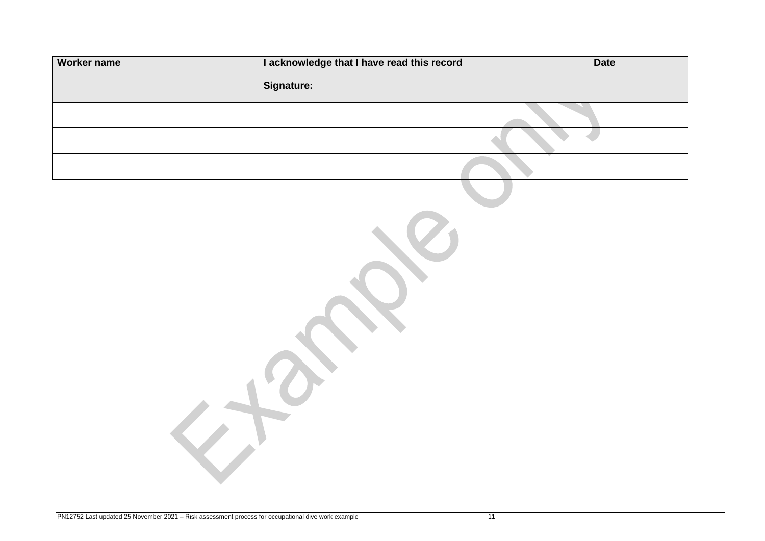| <b>Worker name</b> | I acknowledge that I have read this record | <b>Date</b> |
|--------------------|--------------------------------------------|-------------|
|                    | Signature:                                 |             |
|                    |                                            |             |
|                    |                                            |             |
|                    |                                            |             |
|                    |                                            |             |
|                    |                                            |             |
|                    |                                            |             |